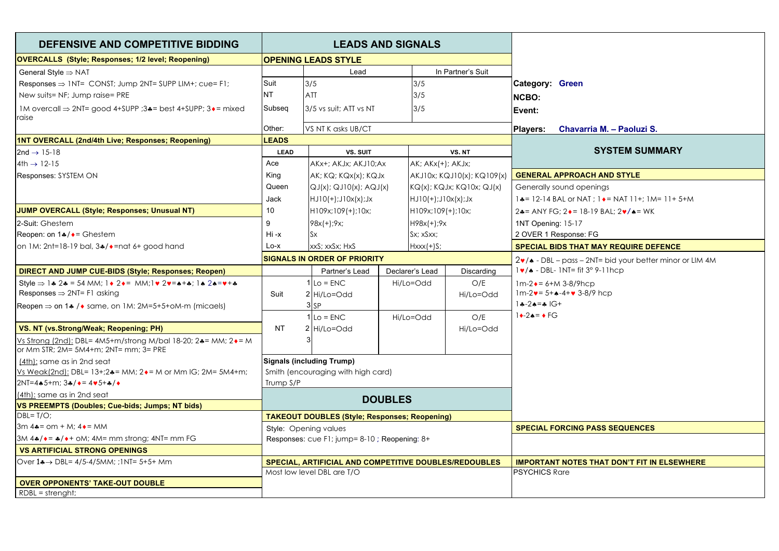| DEFENSIVE AND COMPETITIVE BIDDING<br><b>LEADS AND SIGNALS</b>                                                                                                                                            |                       |
|----------------------------------------------------------------------------------------------------------------------------------------------------------------------------------------------------------|-----------------------|
| <b>OVERCALLS</b> (Style; Responses; 1/2 level; Reopening)<br><b>OPENING LEADS STYLE</b>                                                                                                                  |                       |
| In Partner's Suit<br>General Style $\Rightarrow$ NAT<br>Lead                                                                                                                                             |                       |
| 3/5<br>Responses $\Rightarrow$ 1NT= CONST; Jump 2NT= SUPP LIM+; cue= F1;<br>Suit<br>3/5<br><b>Category: Green</b>                                                                                        |                       |
| <b>NT</b><br>ATT<br>New suits= NF; Jump raise= PRE<br>3/5<br><b>NCBO:</b>                                                                                                                                |                       |
| 3/5 vs suit: ATT vs NT<br>IM overcall $\Rightarrow$ 2NT= good 4+SUPP ;3 $\clubsuit$ = best 4+SUPP; 3 $\bullet$ = mixed<br>Subseq<br>3/5<br>Event:<br>raise                                               |                       |
| Other:<br>Players:<br>VS NT K asks UB/CT<br>Chavarria M. - Paoluzi S.                                                                                                                                    |                       |
| <b>LEADS</b><br>1NT OVERCALL (2nd/4th Live; Responses; Reopening)                                                                                                                                        |                       |
| $2nd \rightarrow 15-18$<br><b>LEAD</b><br><b>VS. SUIT</b><br>VS. NT                                                                                                                                      | <b>SYSTEM SUMMARY</b> |
| AK; AKx(+); AKJx;<br>$4th \rightarrow 12-15$<br>Ace<br>AKx+; AKJx; AKJ10;Ax                                                                                                                              |                       |
| King<br><b>GENERAL APPROACH AND STYLE</b><br>AKJ10x; KQJ10(x); KQ109(x)<br>Responses: SYSTEM ON<br>AK; KQ; KQx(x); KQJx                                                                                  |                       |
| Queen<br>$KQ(x)$ ; $KQJx$ ; $KQ10x$ ; $QJ(x)$<br>$QJ(x)$ ; $QJ10(x)$ ; $AQJ(x)$<br>Generally sound openings                                                                                              |                       |
| Jack<br>$HJ10(+);J10x(x);Jx$<br>$HJ10(+);J10x(x);Jx$<br>$1$ $\bullet$ = 12-14 BAL or NAT ; $1 \bullet$ = NAT 11+; 1M= 11+ 5+M                                                                            |                       |
| <b>JUMP OVERCALL (Style; Responses; Unusual NT)</b><br>10<br>$H109x;109(+);10x;$<br>$H109x;109(+);10x;$<br>$2$ $\ast$ = ANY FG; 2 $\ast$ = 18-19 BAL; 2 $\ast$ / $\ast$ = WK                             |                       |
| 9<br>2-Suit: Ghestem<br>$98x(+);9x;$<br>$H98x(+);9x$<br>1NT Opening: 15-17                                                                                                                               |                       |
| Reopen: on $1*/\bullet =$ Ghestem<br>$Hi -x$<br>Sx; xSxx;<br>2 OVER 1 Response: FG<br>$S_{X}$                                                                                                            |                       |
| on 1M: 2nt=18-19 bal, 3*/ • = nat 6+ good hand<br>$Lo-x$<br>xxS: xxSx: HxS<br>$Hxxx(+)S;$<br><b>SPECIAL BIDS THAT MAY REQUIRE DEFENCE</b>                                                                |                       |
| <b>SIGNALS IN ORDER OF PRIORITY</b><br>$2\nu$ / $\bullet$ - DBL – pass – 2NT= bid your better minor or LIM 4M                                                                                            |                       |
| $1 \cdot / \cdot$ - DBL- 1NT= fit 3° 9-11hcp<br>Partner's Lead<br>Declarer's Lead<br>Discarding<br>DIRECT AND JUMP CUE-BIDS (Style: Responses: Reopen)                                                   |                       |
| Style $\Rightarrow$ 1.4 2.4 = 54 MM; 1 $\bullet$ 2.4 = MM; 1 $\bullet$ 2.4 = $\bullet$ + $\bullet$ ; 1.4 2.4 = $\bullet$ + $\bullet$<br>$Lo = ENC$<br>Hi/Lo=Odd<br>O/E<br>$1m-2 \cdot = 6 + M 3-8/9$ hcp |                       |
| Responses $\Rightarrow$ 2NT= F1 asking<br>$1m-2v = 5 + 4 - 4 + v 3 - 8/9$ hcp<br>Suit<br>2 Hi/Lo=Odd<br>Hi/Lo=Odd                                                                                        |                       |
| $1 - 2 - 5 = 16 +$<br>3 <sub>SP</sub><br>Reopen $\Rightarrow$ on 1.4 / $\bullet$ same, on 1M: 2M=5+5+oM-m (micaels)                                                                                      |                       |
| $1 \rightarrow -2 \bullet = \bullet FG$<br>$1$ Lo = ENC<br>Hi/Lo=Odd<br>O/E                                                                                                                              |                       |
| VS. NT (vs.Strong/Weak; Reopening; PH)<br><b>NT</b><br>2 Hi/Lo=Odd<br>Hi/Lo=Odd                                                                                                                          |                       |
| Vs Strong (2nd): DBL= 4M5+m/strong M/bal 18-20; 2*= MM; 2*= M<br>or Mm STR; 2M= 5M4+m; 2NT= mm; 3= PRE                                                                                                   |                       |
| <b>Signals (including Trump)</b><br>(4th): same as in 2nd seat                                                                                                                                           |                       |
| Smith (encouraging with high card)<br>Vs Weak(2nd): DBL= $13+24=$ MM; $2\bullet$ = M or Mm IG; 2M= 5M4+m;                                                                                                |                       |
| $2NT = 4 \cdot 5 + m$ ; $3 \cdot 7 \cdot 5 = 4 \cdot 5 + 2 \cdot 7$<br>Trump S/P                                                                                                                         |                       |
| (4th): same as in 2nd seat<br><b>DOUBLES</b>                                                                                                                                                             |                       |
| VS PREEMPTS (Doubles; Cue-bids; Jumps; NT bids)                                                                                                                                                          |                       |
| $\overline{\text{DBL}}$ T/O;<br><b>TAKEOUT DOUBLES (Style; Responses; Reopening)</b>                                                                                                                     |                       |
| $3m 4 = om + M$ ; $4 \cdot 5 = MM$<br><b>SPECIAL FORCING PASS SEQUENCES</b><br>Style: Opening values                                                                                                     |                       |
| 3M 4*/*= */*+ oM; 4M= mm strong; 4NT= mm FG<br>Responses: cue F1; jump= 8-10; Reopening: 8+                                                                                                              |                       |
| <b>VS ARTIFICIAL STRONG OPENINGS</b>                                                                                                                                                                     |                       |
| Over 1♣ → DBL= 4/5-4/5MM; ; 1NT= 5+5+ Mm<br>SPECIAL, ARTIFICIAL AND COMPETITIVE DOUBLES/REDOUBLES<br><b>IMPORTANT NOTES THAT DON'T FIT IN ELSEWHERE</b>                                                  |                       |
| Most low level DBL are T/O<br><b>PSYCHICS Rare</b>                                                                                                                                                       |                       |
| <b>OVER OPPONENTS' TAKE-OUT DOUBLE</b><br>$RDBL = strength;$                                                                                                                                             |                       |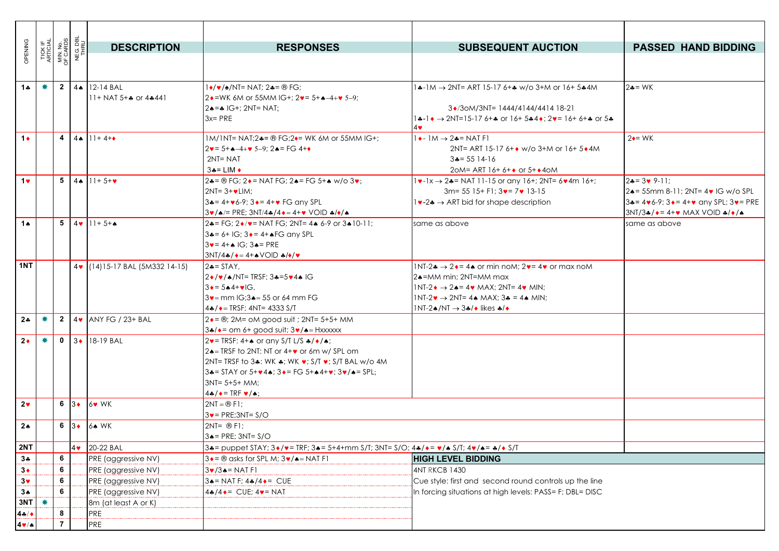| OPENING              | TICK IF<br>ARTICIAL |   | MIN. No.<br>OF CARDS<br>NEG. DBL<br>THRU | <b>DESCRIPTION</b>                            | <b>RESPONSES</b>                                                                                                                                                                    | <b>SUBSEQUENT AUCTION</b>                                                                                                                                            | <b>PASSED HAND BIDDING</b>                                                                                      |
|----------------------|---------------------|---|------------------------------------------|-----------------------------------------------|-------------------------------------------------------------------------------------------------------------------------------------------------------------------------------------|----------------------------------------------------------------------------------------------------------------------------------------------------------------------|-----------------------------------------------------------------------------------------------------------------|
|                      |                     |   |                                          |                                               |                                                                                                                                                                                     |                                                                                                                                                                      |                                                                                                                 |
|                      |                     |   |                                          |                                               |                                                                                                                                                                                     |                                                                                                                                                                      |                                                                                                                 |
| 1 $\clubsuit$        | 兼                   |   | $2 \mid 4 \spadesuit$                    | 12-14 BAL                                     | $1\bullet/\bullet/\bullet$ /NT= NAT; 2 $\bullet$ = ® FG;                                                                                                                            | $4 \cdot 1$ M $\rightarrow$ 2NT= ART 15-17 6+ $\ast$ w/o 3+M or 16+ 5 $\ast$ 4M                                                                                      | $2 - WK$                                                                                                        |
|                      |                     |   |                                          | $11+$ NAT 5+ $\clubsuit$ or 4 $\clubsuit$ 441 | $2\bullet$ =WK 6M or 55MM IG+; $2\bullet$ = 5+ $\bullet$ -4+ $\bullet$ 5-9;                                                                                                         |                                                                                                                                                                      |                                                                                                                 |
|                      |                     |   |                                          |                                               | $2 \triangle = 16 + 2 N = NAT$ ;<br>$3x = PRE$                                                                                                                                      | $3\cdot$ /30M/3NT= 1444/4144/4414 18-21<br>$1 \div 1 \leftrightarrow 2$ NT=15-17 6+ $\div$ or 16+ 5 $\div 4 \leftrightarrow 2 \rightarrow 16 + 6 + \div$ or 5 $\div$ |                                                                                                                 |
|                      |                     |   |                                          |                                               |                                                                                                                                                                                     | 4♥                                                                                                                                                                   |                                                                                                                 |
| $1+$                 |                     | 4 |                                          | $ 4 \bullet  1  + 4 + \bullet$                | 1M/1NT= NAT;2. * = ® FG;2. • WK 6M or 55MM IG+;                                                                                                                                     | $1 \rightarrow 1 \text{M} \rightarrow 2 \rightarrow 1 \text{N}$ F1                                                                                                   | $2 \div = WK$                                                                                                   |
|                      |                     |   |                                          |                                               | $2v = 5 + 4 - 4 + v 5 - 9$ : $24 = FG 4 + 4$                                                                                                                                        | 2NT= ART 15-17 6+ $\bullet$ w/o 3+M or 16+ 5 $\bullet$ 4M                                                                                                            |                                                                                                                 |
|                      |                     |   |                                          |                                               | $2NT = NAT$                                                                                                                                                                         | $3 = 5514-16$                                                                                                                                                        |                                                                                                                 |
|                      |                     |   |                                          |                                               | $3 - 1$ LIM $\triangleleft$                                                                                                                                                         | $2$ oM = ART 16+6+ $\bullet$ or 5+ $\bullet$ 40M                                                                                                                     |                                                                                                                 |
| $1$ v                |                     |   | $5 \quad 4 \spadesuit$                   | $11 + 5 + \bullet$                            | 2. = $\circledR$ FG; 2. = NAT FG; 2. = FG 5+. w/o 3.                                                                                                                                | $1\bullet -1x \to 2\bullet = NAT 11-15$ or any $16+72NT = 6\bullet 4m 16+7$                                                                                          | $24 = 3 \times 9 - 11$ :                                                                                        |
|                      |                     |   |                                          |                                               | $2NT = 3 + 4$ LIM:                                                                                                                                                                  | $3m = 5515 + F1$ ; $3\vee = 7\vee 13-15$                                                                                                                             | 2. = 55mm 8-11; 2NT= 4 V IG w/o SPL                                                                             |
|                      |                     |   |                                          |                                               | $34 = 4 + 6 - 9$ ; $34 = 4 + 9$ FG any SPL<br>$3\cdot / \triangle / =$ PRE; $3NT/4 \cdot / 4 \cdot = 4 + \vee$ VOID $\triangle / \triangle / \triangle$                             | $1\rightarrow -2\rightarrow$ ART bid for shape description                                                                                                           | $34 = 4 \cdot 6 - 9$ ; $3 \cdot = 4 + \cdot \text{any SPL}$ ; $3 \cdot = PRE$<br>$3NT/3$ */*=4+* MAX VOID */*/* |
| 14                   |                     | 5 |                                          | $4 \cdot 11 + 5 + 4$                          | $2\clubsuit$ = FG: $2\bullet/\bullet$ = NAT FG: 2NT= 4 $\bullet$ 6-9 or 3 $\bullet$ 10-11:                                                                                          | same as above                                                                                                                                                        | same as above                                                                                                   |
|                      |                     |   |                                          |                                               | $3 - 6 + 1G$ ; $3 - 4 + 1G$ any SPL                                                                                                                                                 |                                                                                                                                                                      |                                                                                                                 |
|                      |                     |   |                                          |                                               | $3 \vee = 4 + \triangle$ IG; $3 \triangle = PRE$                                                                                                                                    |                                                                                                                                                                      |                                                                                                                 |
|                      |                     |   |                                          |                                               | $3NT/4A/\bullet = 4+AVOID A/\bullet/\bullet$                                                                                                                                        |                                                                                                                                                                      |                                                                                                                 |
| 1NT                  |                     |   |                                          | 4 (14) 15-17 BAL (5M332 14-15)                | $2 = \text{STAT}$ ,                                                                                                                                                                 | $1NT-2$ $\rightarrow$ 2 $\rightarrow$ = 4. or min noM: 2 $\rightarrow$ = 4 $\rightarrow$ or max noM                                                                  |                                                                                                                 |
|                      |                     |   |                                          |                                               | $2*(\vee)$ / $\wedge$ /NT= TRSF; 34=5 $\nu$ 44 IG                                                                                                                                   | 2. = MM min: 2NT=MM max                                                                                                                                              |                                                                                                                 |
|                      |                     |   |                                          |                                               | $3 \cdot = 5 \cdot 4 + \cdot 1$ G.                                                                                                                                                  | $1NT-2 \rightarrow 2 \rightarrow 4 = 4 \cdot MAX$ ; $2NT = 4 \cdot MIN$ ;                                                                                            |                                                                                                                 |
|                      |                     |   |                                          |                                               | $3v =$ mm IG:3 $e = 55$ or 64 mm FG                                                                                                                                                 | $1NT-2\bullet \rightarrow 2NT = 4 \bullet MAX$ ; $3\bullet = 4 \bullet MIN$ ;                                                                                        |                                                                                                                 |
|                      |                     |   |                                          |                                               | $4*/\bullet$ = TRSF; 4NT= 4333 S/T                                                                                                                                                  | $1NT-2A/NT \rightarrow 3A/$ likes $A/\rightarrow$                                                                                                                    |                                                                                                                 |
| $2*$                 | ₩                   |   |                                          | $2$ 4 $\bullet$ ANY FG / 23+ BAL              | $2 \cdot = \circledR$ ; 2M= oM good suit ; 2NT= 5+5+ MM                                                                                                                             |                                                                                                                                                                      |                                                                                                                 |
|                      |                     |   |                                          |                                               | $3*/\bullet$ = om 6+ good suit; $3\bullet/\bullet$ = Hxxxxxx                                                                                                                        |                                                                                                                                                                      |                                                                                                                 |
| $2*$                 | ₩                   |   |                                          | $0$ 3. 18-19 BAL                              | $2\mathbf{v}$ = TRSF: 4+ $\mathbf{A}$ or any S/T L/S $\mathbf{\clubsuit}/\mathbf{\spadesuit}/\mathbf{\spadesuit}$ ;                                                                 |                                                                                                                                                                      |                                                                                                                 |
|                      |                     |   |                                          |                                               | $2 \triangle = TRSF$ to 2NT: NT or $4+\vee$ or 6m w/ SPL om<br>2NT= TRSF to 3 WK $\bullet$ ; WK $\bullet$ ; S/T $\bullet$ ; S/T BAL w/o 4M                                          |                                                                                                                                                                      |                                                                                                                 |
|                      |                     |   |                                          |                                               | $3$ = STAY or 5+ $\vee$ 44; $3 \cdot$ = FG 5+ $\wedge$ 4+ $\vee$ ; $3 \cdot / \wedge$ = SPL;                                                                                        |                                                                                                                                                                      |                                                                                                                 |
|                      |                     |   |                                          |                                               | $3NT = 5 + 5 + MM$ :                                                                                                                                                                |                                                                                                                                                                      |                                                                                                                 |
|                      |                     |   |                                          |                                               | $4$ */ $\bullet$ = TRF $\bullet$ /*;                                                                                                                                                |                                                                                                                                                                      |                                                                                                                 |
| 2 <sub>v</sub>       |                     |   |                                          | 6 3 $6$ 6 WK                                  | $2NT = \circledR$ F1:                                                                                                                                                               |                                                                                                                                                                      |                                                                                                                 |
|                      |                     |   |                                          |                                               | $3v = PRE;3NT = S/O$                                                                                                                                                                |                                                                                                                                                                      |                                                                                                                 |
| $2*$                 |                     |   |                                          | 6 3 6. WK                                     | $2NT = \circledR F1$ ;                                                                                                                                                              |                                                                                                                                                                      |                                                                                                                 |
|                      |                     |   |                                          |                                               | $3 \triangle = PRE$ ; $3NT = S/O$                                                                                                                                                   |                                                                                                                                                                      |                                                                                                                 |
| 2NT                  |                     |   |                                          | 4 20-22 BAL                                   | $3\bullet$ = puppet STAY; $3\bullet/\bullet$ = TRF; $3\bullet$ = 5+4+mm S/T; $3NT = S/O$ ; $4\bullet/\bullet$ = $\bullet$ / $\bullet$ S/T; $4\bullet/$ $\bullet$ = $\bullet/$ + S/T |                                                                                                                                                                      |                                                                                                                 |
| $3*$                 |                     | 6 |                                          | PRE (aggressive NV)                           | $3 \cdot = \circledR$ asks for SPL M; $3 \cdot / \cdot = NAT$ F1                                                                                                                    | <b>HIGH LEVEL BIDDING</b>                                                                                                                                            |                                                                                                                 |
| $3*$                 |                     | 6 |                                          | PRE (aggressive NV)                           | $3\blacktriangledown/3\blacktriangle =$ NAT F1                                                                                                                                      | <b>4NT RKCB 1430</b>                                                                                                                                                 |                                                                                                                 |
| $3\vee$              |                     | 6 |                                          | PRE (aggressive NV)                           | $3 \triangle = NAT F$ ; $4 \triangle 4 \triangle = CUE$                                                                                                                             | Cue style: first and second round controls up the line                                                                                                               |                                                                                                                 |
| $3*$                 |                     | 6 |                                          | PRE (aggressive NV)                           | $4*/4 \rightarrow$ CUE; $4 \rightarrow$ NAT                                                                                                                                         | In forcing situations at high levels: PASS= F; DBL= DISC                                                                                                             |                                                                                                                 |
| 3NT                  | ₩                   |   |                                          | 8m (at least A or K)                          |                                                                                                                                                                                     |                                                                                                                                                                      |                                                                                                                 |
| $4 + 4$              |                     | 8 |                                          | PRE                                           |                                                                                                                                                                                     |                                                                                                                                                                      |                                                                                                                 |
| $4 \vee / \triangle$ |                     | 7 |                                          | PRE                                           |                                                                                                                                                                                     |                                                                                                                                                                      |                                                                                                                 |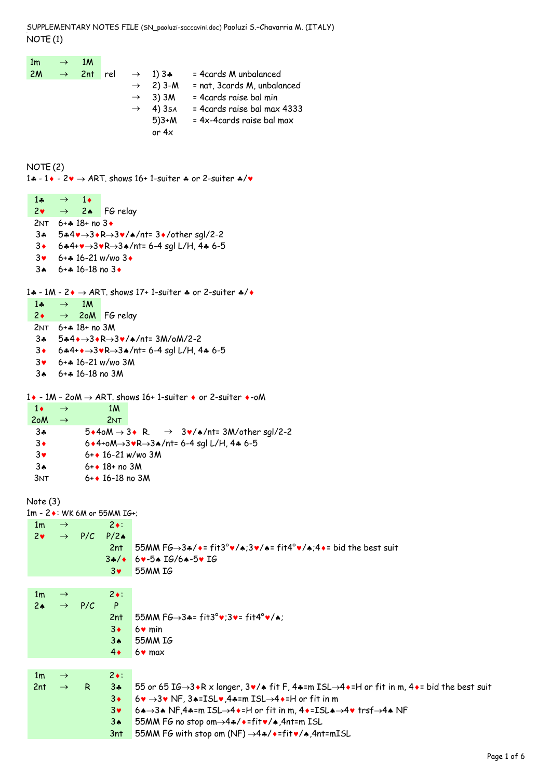SUPPLEMENTARY NOTES FILE (SN\_paoluzi-saccavini.doc) Paoluzi S.–Chavarria M. (ITALY) NOTE (1)

 $1m \rightarrow 1M$  $2M \rightarrow 2nt$  rel  $\rightarrow 1$ ) 3 $\ast$  = 4cards M unbalanced  $\rightarrow$  2) 3-M = nat, 3cards M, unbalanced  $\rightarrow$  3) 3M = 4cards raise bal min  $\rightarrow$  4) 3sa 5)3+M or 4x = 4cards raise bal max 4333 = 4x-4cards raise bal max

NOTE (2)

1 $\clubsuit$  - 1 $\bullet$  - 2 $\bullet$   $\rightarrow$  ART. shows 16+ 1-suiter  $\clubsuit$  or 2-suiter  $\clubsuit/\bullet$ 

 $1\bullet \rightarrow 1\bullet$  $2\bullet \rightarrow 2\bullet$  FG relay 2NT  $6 + 4$  18 + no 3  $3* 5*4* \rightarrow 3*R \rightarrow 3*/a/nt = 3*/other$  sgl/2-2  $3 \cdot 6$  $44 \cdot 3 \cdot R \rightarrow 3 \cdot 7$ nt= 6-4 sgl L/H, 4 $\ast$  6-5  $3 \cdot 6 + 16 - 21 \text{ w/wo} 3$ 3 $\bullet$  6+ $\bullet$  16-18 no 3 $\bullet$ 1 $\clubsuit$  - 1M - 2 $\spadesuit$   $\rightarrow$  ART. shows 17+ 1-suiter  $\clubsuit$  or 2-suiter  $\clubsuit/\spadesuit$ 1 $\ast \rightarrow 1M$  $2 \rightarrow 2$ oM FG relay 2NT 6+§ 18+ no 3M  $3* 5*4* \rightarrow 3*R \rightarrow 3* / * / nt = 3M / oM / 2 - 2$  $3 \cdot 6 * 4 + \cdot \rightarrow 3 \cdot R \rightarrow 3 \cdot \text{nt} = 6 - 4 \text{ sql L/H}$ , 4\* 6-5 3© 6+§ 16-21 w/wo 3M 3ª 6+§ 16-18 no 3M 1 $\bullet$  - 1M - 2oM  $\rightarrow$  ART. shows 16+ 1-suiter  $\bullet$  or 2-suiter  $\bullet$ -oM  $1 \bullet \rightarrow \qquad 1 \text{M}$  $2$ o $M \rightarrow$  2NT 3 $\clubsuit$  5 $\bullet$ 4oM  $\rightarrow$  3 $\bullet$  R.  $\rightarrow$  3 $\bullet$ / $\bullet$ /nt= 3M/other sgl/2-2  $3 \cdot 6 \cdot 4 + 6M \rightarrow 3 \cdot R \rightarrow 3 \cdot 7$ nt= 6-4 sgl L/H, 4 $\ast$  6-5  $3\bullet$  6+ $\bullet$  16-21 w/wo 3M 3 $\bullet$  6+ $\bullet$  18+ no 3M  $3NT$  6+ $\bullet$  16-18 no 3M Note (3)  $1m - 2 \cdot :$  WK 6M or 55MM IG+;  $1m \rightarrow$  2.  $2\bullet \rightarrow$  P/C P/2A 2nt 55MM  $FG \rightarrow 3* / * = fit3°$  $\vee / * : 3 \vee / * = fit4° \vee / * : 4 * = bid$  the best suit 3≄/• 6v-5▲ IG/6▲-5v IG 3© 55MM IG  $1m \rightarrow$  2•:  $2 \cdot \rightarrow P/C$  P 2nt 55MM  $FG \rightarrow 3* = fit3°$  $\vee$ ;3 $\vee$ = fit4° $\vee$ / $\star$ ;  $3\bullet$  6 $\bullet$  min 3ª 55MM IG  $4 \cdot 6 \cdot \text{max}$  $1m \rightarrow$  2. 2nt  $\rightarrow$  R 3 $\clubsuit$  55 or 65 IG $\rightarrow$ 3 $\bullet$ R x longer, 3 $\bullet$ / $\bullet$  fit F, 4 $\bullet$ =m ISL $\rightarrow$ 4 $\bullet$ =H or fit in m, 4 $\bullet$ = bid the best suit  $3 \cdot 6 \cdot \rightarrow 3 \cdot \text{NF}$ ,  $3 \cdot 15$ L $\cdot$ ,  $4 \cdot 15$ m ISL $\rightarrow 4 \cdot 1$  or fit in m 3 $\bullet$  6 $\bullet \rightarrow$ 3 $\bullet$  NF,4 $\bullet$ =m ISL $\rightarrow$ 4 $\bullet$ =H or fit in m, 4 $\bullet$ =ISL $\bullet \rightarrow$ 4 $\bullet$  trsf $\rightarrow$ 4 $\bullet$  NF 3♦ 55MM FG no stop om  $\rightarrow$  4♦/ • = fit  $\sqrt{ }$  4,4nt=m ISL 3nt 55MM FG with stop om (NF)  $\rightarrow$  4 $\ast$ /  $\bullet$  =fit $\bullet$ / $\bullet$ ,4nt=mISL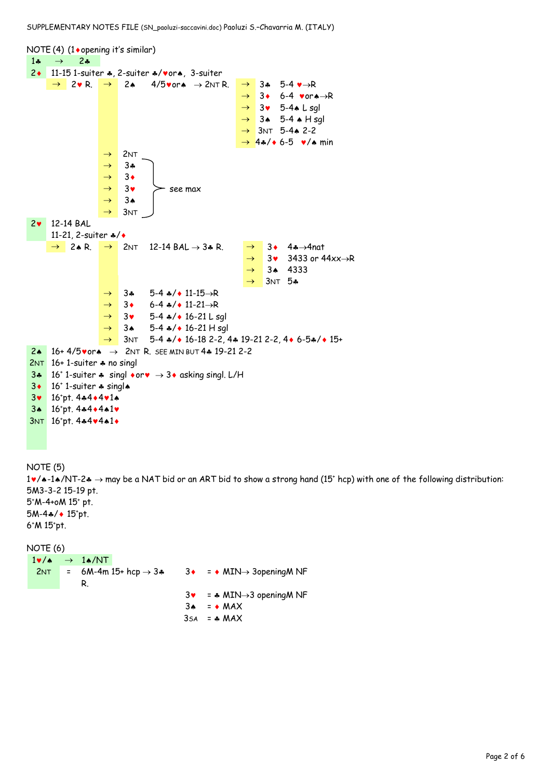SUPPLEMENTARY NOTES FILE (SN\_paoluzi-saccavini.doc) Paoluzi S.–Chavarria M. (ITALY)

```
NOTE (4) (1◆opening it's similar)
 1\clubsuit \rightarrow 2\clubsuit2♦ 11-15 1-suiter ♦, 2-suiter ♦/vor♦, 3-suiter
        \rightarrow 2VR. \rightarrow 24 4/5vora \rightarrow 2NTR. \rightarrow 34 5-4 v\rightarrowR
                                                                           \rightarrow 3• 6-4 vor\rightarrow \rightarrow R\rightarrow 3\bullet 5-4\bullet L sgl
                                                                           \rightarrow 34 5-4 \bullet H sql
                                                                           \rightarrow 3NT 5-44 2-2
                                                                           \rightarrow 4\ast/\ast 6-5 \ast/\ast min
                          \rightarrow 2NT
                           \rightarrow 34
                          \rightarrow 3
                          \rightarrow 3\bullet > see max
                          \rightarrow 34
                           \rightarrow 3NT
 2© 12-14 BAL 
        11-21, 2-suiter */*\rightarrow 2.4 R. \rightarrow 2NT 12-14 BAL \rightarrow 3.4 R. \rightarrow 3.4 4.4 Anat
                                                                            \rightarrow 3\bullet 3433 or 44xx\rightarrowR
                                                                            \rightarrow 34 4333
                                                                            \rightarrow 3NT 5\ast\rightarrow 34 5-4 \ast/\ast 11-15\rightarrowR
                          \rightarrow 3 6-4 \ast/ \ast 11-21\rightarrowR
                          \rightarrow 3\bullet 5-4\ast/\bullet 16-21 L sgl
                          \rightarrow 34 5-4 \ast/ \bullet 16-21 H sgl
                          \rightarrow 3NT 5-4 \frac{1}{2} 16-18 2-2, 4* 19-21 2-2, 4* 6-5*/* 15+
 2. 16+ 4/5vor. \rightarrow 2NT R. SEE MIN BUT 4. 19-21 2-2
 2NT 16+1-suiter \clubsuit no singl
 3\cdot 16<sup>+</sup> 1-suiter \cdot singl \cdot or \cdot \rightarrow 3\cdot asking singl. L/H
 3 \cdot 16<sup>+</sup> 1-suiter \clubsuit singl\spadesuit3v 16+pt. 4*4*4*1*
  34 16<sup>+</sup>pt. 4444441
 3NT 16<sup>+</sup>pt. 4*4*4*1*
NOTE (5)
1\vee/\triangle-1\triangle/NT-2\clubsuit \rightarrow may be a NAT bid or an ART bid to show a strong hand (15<sup>+</sup> hcp) with one of the following distribution:
5M3-3-2 15-19 pt.
```
5+ M-4+oM 15+ pt. 5M-4♣/◆ 15<sup>+</sup>pt. 6+M 15+pt.

```
NOTE (6)
  1\blacktriangledown/\blacktriangle \rightarrow 1\blacktriangle/\text{NT}2NT = 6M-4m 15+ hcp \rightarrow 3*R.
                                                               3 \cdot = \cdot MIN\rightarrow 3opening MNF
                                                               3 \cdot = * MIN \rightarrow 3 opening MNF
                                                               3 \cdot = \cdot \text{MAX}
```

```
3SA = * MAX
```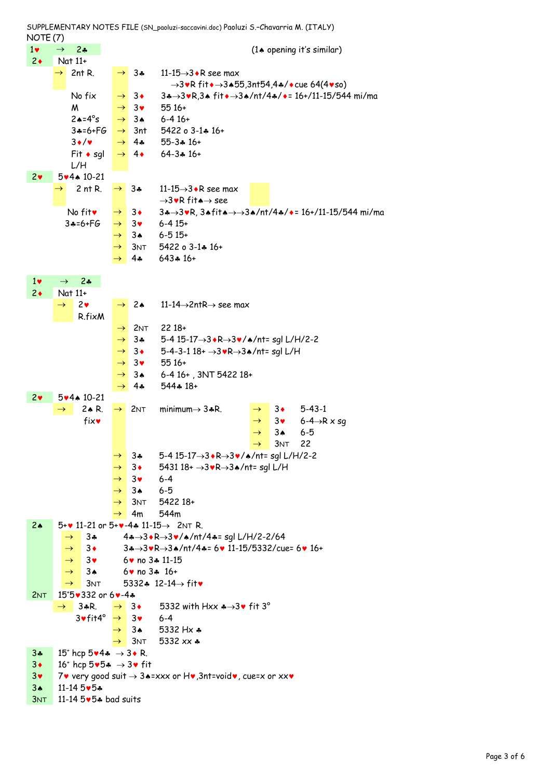$1\bullet$   $\rightarrow$  2 $\bullet$  (1 $\bullet$  opening it's similar)  $2 \bullet$  Nat  $11+$  $\rightarrow$  2nt R.  $\rightarrow$  3. 11-15 $\rightarrow$ 3. R see max  $\rightarrow$ 3 $\blacktriangleright$ R fit $\blacklozenge$   $\rightarrow$ 3 $\blacktriangle$ 55,3nt54,4 $\blacktriangleleft$ / $\blacktriangleright$ cue 64(4 $\blacktriangleright$ so) No fix  $\rightarrow$  3  $\rightarrow$  3 $\rightarrow$  3 $\bullet$  3.  $\rightarrow$  3 $\bullet$  fit $\rightarrow$  3.  $\prime$ nt/4 $\ast$ / $\bullet$  = 16+/11-15/544 mi/ma  $M \rightarrow 3$  55 16+  $2 \cdot 4^{\circ}$ s  $\rightarrow 3 \cdot 6 - 416 +$  $3*-6+FG$   $\rightarrow$  3nt 5422 o 3-14 16+  $3\bullet/\bullet$   $\rightarrow$  4 $\bullet$  55-3 $\bullet$  16+  $Fit * sgl$ L/H  $\rightarrow$  4 64-3  $\ast$  16+ 2© 5©4ª 10-21  $\rightarrow$  2 nt R.  $\rightarrow$  3. 11-15 $\rightarrow$ 3. R see max  $\rightarrow$ 3 $\blacktriangleright$ R fita $\rightarrow$  see No fit  $\rightarrow$  3  $\rightarrow$  34  $\rightarrow$  34  $\rightarrow$  34fit  $\rightarrow$   $\rightarrow$  34/nt/44/ $\rightarrow$  = 16+/11-15/544 mi/ma  $3*-6+FG \rightarrow 3* 6-415+$  $\rightarrow 3$  4 6-515+  $\rightarrow$  3NT 5422 o 3-1 $\clubsuit$  16+  $\rightarrow$  4 $\clubsuit$  643 $\clubsuit$  16+  $1\bullet \rightarrow 2\bullet$  $2 \cdot$  Nat  $11+$  $\rightarrow$  2 $\bullet$ R.fixM  $\rightarrow$  2.4 11-14 $\rightarrow$ 2ntR $\rightarrow$  see max  $\rightarrow$  2NT 2218+  $\rightarrow$  3 $\clubsuit$  5-4 15-17 $\rightarrow$ 3 $\bullet$ R $\rightarrow$ 3 $\bullet$ / $\bullet$ /nt= sgl L/H/2-2  $\rightarrow$  3  $\rightarrow$  5-4-3-1 18+  $\rightarrow$ 3 $\sqrt{R}$  $\rightarrow$ 3 $\rightarrow$ /nt= sgl L/H  $\rightarrow$  3 $\bullet$  55 16+  $\rightarrow$  3.4 6-4 16+, 3NT 5422 18+  $\rightarrow$  44 544  $\ast$  18+ 2© 5©4ª 10-21  $\rightarrow$  24 R.  $\rightarrow$  2NT minimum $\rightarrow$  34 R.  $\rightarrow$  34 5-43-1 fix  $\mathbf{v} = \begin{bmatrix} 1 & 3 & 3 \\ 3 & 6 & -4 \end{bmatrix}$   $\mathbf{x} = \mathbf{x} \cdot \mathbf{a}$  $\rightarrow$  34 6-5  $\rightarrow$  3NT 22  $\rightarrow$  3 $\clubsuit$  5-4 15-17 $\rightarrow$ 3 $\spadesuit$ R $\rightarrow$ 3 $\spadesuit$ / $\spadesuit$ /nt= sgl L/H/2-2  $\rightarrow$  3  $\rightarrow$  5431 18+  $\rightarrow$ 3 $\bullet$ R $\rightarrow$ 3 $\bullet$ /nt= sgl L/H  $\rightarrow$  3 $\bullet$  6-4  $\rightarrow$  34 6-5  $\rightarrow$  3NT 5422 18+  $\rightarrow$  4m 544m 2.  $5+v 11-21$  or  $5+v-4$   $11-15 \rightarrow 2N$  T R.  $\rightarrow$  3\$ 4\$ $\rightarrow$ 3 $\cdot$ R $\rightarrow$ 3 $\cdot$ / $\cdot$ /nt/4\$= sgl L/H/2-2/64  $\rightarrow$  3  $\rightarrow$  3 $\rightarrow$ 3 $\cdot$ R $\rightarrow$ 3 $\cdot$ /nt/4 $\cdot$ = 6 $\cdot$  11-15/5332/cue= 6 $\cdot$  16+  $\rightarrow$  3 $\bullet$  6 $\bullet$  no 3 $\ast$  11-15  $\rightarrow$  34 6 $\bullet$  no 34 16+  $\rightarrow$  3NT 5332 $\clubsuit$  12-14 $\rightarrow$  fity  $2NT$ 15<sup>+</sup>5.332 or 6.• - 4.  $\rightarrow$  34R.  $\rightarrow$  3+ 5332 with Hxx  $\rightarrow$ 3+ fit 3°  $3\text{v}$  fit4<sup>°</sup>  $\rightarrow$  3<sup> $\text{v}$ </sup> 6-4  $\rightarrow$  34 5332 Hx  $\clubsuit$  $\rightarrow$  3NT 5332 xx  $\clubsuit$ 3 $\clubsuit$  15<sup>+</sup> hcp 5 $\blacktriangleright$ 4 $\clubsuit$   $\rightarrow$  3 $\blacktriangleright$  R.  $3\bullet$  16<sup>+</sup> hcp  $5\bullet5\bullet \rightarrow 3\bullet$  fit 3 $\bullet$  7 $\bullet$  very good suit  $\rightarrow$  3 $\bullet$ =xxx or H $\bullet$ , 3nt=void $\bullet$ , cue=x or xx $\bullet$ 3<sup>4</sup> 11-14 5♥5<del></del> 3NT 11-14 5v5\* bad suits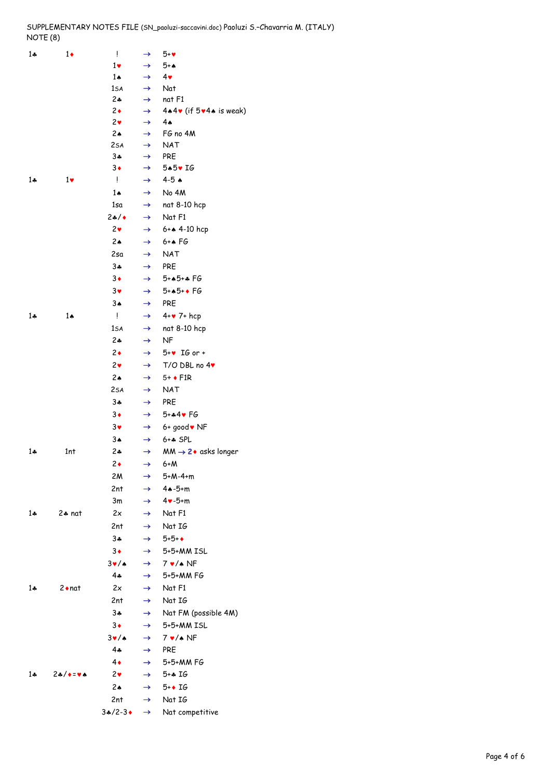## SUPPLEMENTARY NOTES FILE (SN\_paoluzi-saccavini.doc) Paoluzi S.–Chavarria M. (ITALY) NOTE (8)

| $1 +$ | $1\bullet$     | Ţ               | $\rightarrow$ | $5 - v$                                |
|-------|----------------|-----------------|---------------|----------------------------------------|
|       |                | $1\bullet$      | $\rightarrow$ | 5+∧                                    |
|       |                | $1\spadesuit$   | $\rightarrow$ | $4\bullet$                             |
|       |                | 1sa             | $\rightarrow$ | Nat                                    |
|       |                | $2 +$           | $\rightarrow$ | nat F1                                 |
|       |                | $2\bullet$      | $\rightarrow$ | $4*4$ v (if $5*4*$ is weak)            |
|       |                | $2\bullet$      | $\rightarrow$ | 4۸                                     |
|       |                | 42              | $\rightarrow$ | FG no 4M                               |
|       |                | 2sa             | $\rightarrow$ | NAT                                    |
|       |                | $3 +$           | $\rightarrow$ | <b>PRE</b>                             |
|       |                | $3\bullet$      | $\rightarrow$ | 5▲5♥ IG                                |
| $1 +$ | $1\bullet$     | Ţ               | $\rightarrow$ | $4-5$ $\bullet$                        |
|       |                | 14              | $\rightarrow$ | No 4M                                  |
|       |                | 1sa             | $\rightarrow$ | nat 8-10 hcp                           |
|       |                | 24/4            | $\rightarrow$ | Nat F1                                 |
|       |                | 2 <sub>v</sub>  | $\rightarrow$ | 6+4 4-10 hcp                           |
|       |                | 42              | $\rightarrow$ | $6+AFG$                                |
|       |                | 2sa             | $\rightarrow$ | <b>NAT</b>                             |
|       |                | $3 +$           | $\rightarrow$ | <b>PRE</b>                             |
|       |                | $3\bullet$      | $\rightarrow$ | $5 + 15 + 15$ FG                       |
|       |                | $3*$            | $\rightarrow$ | $5+A5+A}$ FG                           |
|       |                | $3*$            | $\rightarrow$ | <b>PRE</b>                             |
| $1 +$ | $1 \spadesuit$ | Ţ.              | $\rightarrow$ | $4 + 7 + hcp$                          |
|       |                | 1sa             | $\rightarrow$ | nat 8-10 hcp                           |
|       |                | $2 -$           | $\rightarrow$ | <b>NF</b>                              |
|       |                | $2\bullet$      | $\rightarrow$ | $5+y$ IG or +                          |
|       |                | $2\bullet$      | $\rightarrow$ | $T/O$ DBL no $4\blacktriangledown$     |
|       |                | 42              | $\rightarrow$ | $5+$ + $F1R$                           |
|       |                | 2sa             | $\rightarrow$ | <b>NAT</b>                             |
|       |                | $3 +$           | $\rightarrow$ | <b>PRE</b>                             |
|       |                | $3\bullet$      | $\rightarrow$ | $5 + 44$ FG                            |
|       |                | $3\vee$         | $\rightarrow$ | 6+ good v NF                           |
|       |                | $3*$            | $\rightarrow$ | $6 + 5$ SPL                            |
| $1 +$ | 1nt            | $2*$            | $\rightarrow$ | $MM \rightarrow 2 \bullet$ asks longer |
|       |                | 2◆              | $\rightarrow$ | 6+M                                    |
|       |                | 2M              | $\rightarrow$ | 5+M-4+m                                |
|       |                | 2nt             | $\rightarrow$ | $4 - 5 + m$                            |
|       |                | 3m              | $\rightarrow$ | $4\vee -5+m$                           |
| $1 +$ | $2 * nat$      | 2x              | $\rightarrow$ | Nat F1                                 |
|       |                | 2nt             | $\rightarrow$ | Nat IG                                 |
|       |                | $3 +$           | $\rightarrow$ | $5 + 5 + 4$                            |
|       |                | $3\bullet$      | $\rightarrow$ | 5+5+MM ISL                             |
|       |                | $3\nu/4$        | $\rightarrow$ | $7 \cdot / \cdot \text{NF}$            |
|       |                | $4 -$           | $\rightarrow$ | 5+5+MM FG                              |
| $1 +$ | $2 \cdot n$ at | 2x              | $\rightarrow$ | Nat F1                                 |
|       |                | 2nt             | $\rightarrow$ | Nat IG                                 |
|       |                | $3 +$           |               |                                        |
|       |                | $3\bullet$      | $\rightarrow$ | Nat FM (possible 4M)<br>5+5+MM ISL     |
|       |                |                 | $\rightarrow$ |                                        |
|       |                | $3\nu/4$<br>4.4 | $\rightarrow$ | $7 \cdot / \cdot \text{NF}$            |
|       |                |                 | $\rightarrow$ | <b>PRE</b>                             |
|       | 24/14          | $4\bullet$      | $\rightarrow$ | 5+5+MM FG                              |
| $1 +$ |                | $2\bullet$      | $\rightarrow$ | $5 + 16$                               |
|       |                | 2A              | $\rightarrow$ | $5+$ IG                                |
|       |                | 2nt             | $\rightarrow$ | Nat IG                                 |
|       |                | $3*/2-3*$       | $\rightarrow$ | Nat competitive                        |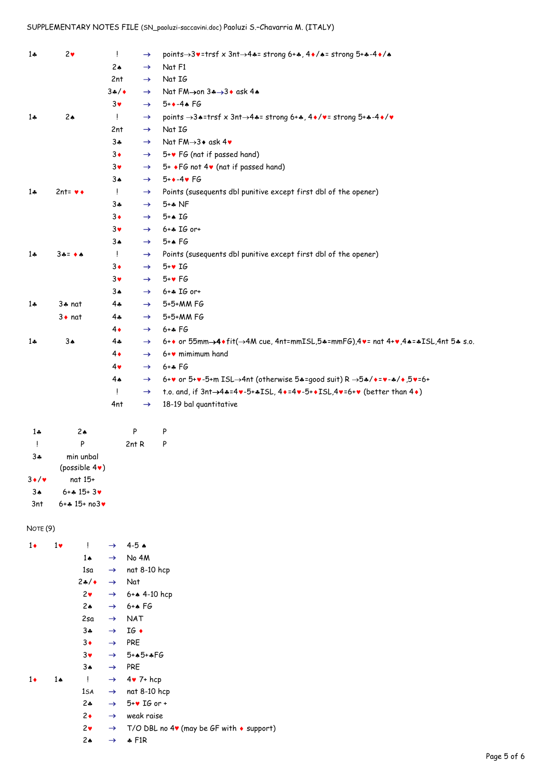## SUPPLEMENTARY NOTES FILE (SN\_paoluzi-saccavini.doc) Paoluzi S.–Chavarria M. (ITALY)

| $1 +$ | 2 <sub>v</sub>    | $\mathbf{I}$  | $\rightarrow$ | points $\rightarrow$ 3v=trsf x 3nt $\rightarrow$ 4*= strong 6+*, 4 $\bullet$ /*= strong 5+*-4 $\bullet$ /* |
|-------|-------------------|---------------|---------------|------------------------------------------------------------------------------------------------------------|
|       |                   | 2A            | $\rightarrow$ | Nat F1                                                                                                     |
|       |                   | 2nt           | $\rightarrow$ | Nat IG                                                                                                     |
|       |                   | 34/4          | $\rightarrow$ | Nat FM→on 3+→3+ ask 4+                                                                                     |
|       |                   | $3\bullet$    | $\rightarrow$ | $5 + \bullet -4 \bullet F6$                                                                                |
| $1 +$ | 2A                | $\frac{1}{2}$ | $\rightarrow$ | points $\rightarrow$ 3.4=trsf x 3nt $\rightarrow$ 4.4= strong 6+4, 4+/v= strong 5+4-4+/v                   |
|       |                   | 2nt           | $\rightarrow$ | Nat IG                                                                                                     |
|       |                   | $3 +$         | $\rightarrow$ | Nat $FM\rightarrow 3*$ ask $4*$                                                                            |
|       |                   | $3\bullet$    | $\rightarrow$ | $5 + v$ FG (nat if passed hand)                                                                            |
|       |                   | $3\vee$       | $\rightarrow$ | 5+ +FG not 4v (nat if passed hand)                                                                         |
|       |                   | $3\spadesuit$ | $\rightarrow$ | $5 + \bullet -4 \bullet F6$                                                                                |
| $1 -$ | $2nt = v \bullet$ | Ţ             | $\rightarrow$ | Points (susequents dbl punitive except first dbl of the opener)                                            |
|       |                   | $3 +$         | $\rightarrow$ | $5**$ NF                                                                                                   |
|       |                   | $3\bullet$    | $\rightarrow$ | $5+AIG$                                                                                                    |
|       |                   | $3\vee$       | $\rightarrow$ | $6 + 16$ or+                                                                                               |
|       |                   | 3ѧ            | $\rightarrow$ | $5+A}$ FG                                                                                                  |
| $1+$  | 3∻= ◆★            | $\frac{1}{2}$ | $\rightarrow$ | Points (susequents dbl punitive except first dbl of the opener)                                            |
|       |                   | $3\bullet$    | $\rightarrow$ | $5+$ $16$                                                                                                  |
|       |                   | $3\bullet$    | $\rightarrow$ | $5 + \bullet$ FG                                                                                           |
|       |                   | $3*$          | $\rightarrow$ | $6 + 16$ or+                                                                                               |
| $1 +$ | $3 + nat$         | $4\clubsuit$  | $\rightarrow$ | 5+5+MM FG                                                                                                  |
|       | $3 \bullet$ nat   | 4÷            | $\rightarrow$ | 5+5+MM FG                                                                                                  |
|       |                   | $4\bullet$    | $\rightarrow$ | $6 + 16$                                                                                                   |
| $1 +$ | $3*$              | 4÷            | $\rightarrow$ | 6++ or 55mm->4+fit(->4M cue, 4nt=mmISL,5+=mmF6),4+= nat 4++,4+=+ISL,4nt 5+ s.o.                            |
|       |                   | $4\bullet$    | $\rightarrow$ | $6 + v$ mimimum hand                                                                                       |
|       |                   | $4\bullet$    | $\rightarrow$ | $6 + 16$                                                                                                   |
|       |                   | $4*$          | $\rightarrow$ | 6+v or 5+v-5+m ISL->4nt (otherwise 54=good suit) R ->54/+=v-4/+,5v=6+                                      |
|       |                   | $\frac{1}{2}$ | $\rightarrow$ | t.o. and, if $3nt \rightarrow 4*-4*-5+*ISL$ , $4*-4*-5+*ISL$ , $4*-6**$ (better than $4*$ )                |
|       |                   | 4nt           | $\rightarrow$ | 18-19 bal quantitative                                                                                     |

| ھ 1               | 2 <sub>A</sub>                      | P     |   |
|-------------------|-------------------------------------|-------|---|
| ļ                 | P                                   | 2nt R | P |
| 34                | min unbal<br>(possible $4\bullet$ ) |       |   |
| $3 \cdot / \cdot$ | nat 15+                             |       |   |
| $3\spadesuit$     | $6 + 2$ $15 + 3$                    |       |   |
| 3nt               | $6 + 4$ 15+ no3 $\bullet$           |       |   |

## NOTE (9)

| $1\bullet$ | $1\vee$       | ļ             | $\rightarrow$ | $4 - 5$ $\star$                                             |
|------------|---------------|---------------|---------------|-------------------------------------------------------------|
|            |               | $1\spadesuit$ | $\rightarrow$ | No 4M                                                       |
|            |               | 1sa           | $\rightarrow$ | nat 8-10 hcp                                                |
|            |               | 24/4          | $\rightarrow$ | Nat                                                         |
|            |               | $2\bullet$    |               | $\rightarrow$ 6+4 4-10 hcp                                  |
|            |               | 2∌            | $\rightarrow$ | $6 + $ FG                                                   |
|            |               | 2sa           | $\rightarrow$ | <b>NAT</b>                                                  |
|            |               | $3 +$         | $\rightarrow$ | $IG$ +                                                      |
|            |               | $3\bullet$    | $\rightarrow$ | <b>PRE</b>                                                  |
|            |               | $3\vee$       |               | $\rightarrow 5+A5+AFG$                                      |
|            |               | $3*$          | $\rightarrow$ | <b>PRE</b>                                                  |
| $1\bullet$ | $1\spadesuit$ | ļ             | $\rightarrow$ | $4\bullet 7+$ hcp                                           |
|            |               | 1sa           | $\rightarrow$ | nat 8-10 hcp                                                |
|            |               | $2 +$         | $\rightarrow$ | $5+y$ IG or +                                               |
|            |               | $2\bullet$    | $\rightarrow$ | weak raise                                                  |
|            |               | $2\bullet$    | $\rightarrow$ | T/O DBL no $4\mathbf{v}$ (may be GF with $\bullet$ support) |
|            |               | $2 \triangle$ | $\rightarrow$ | $\div$ F1R                                                  |
|            |               |               |               |                                                             |